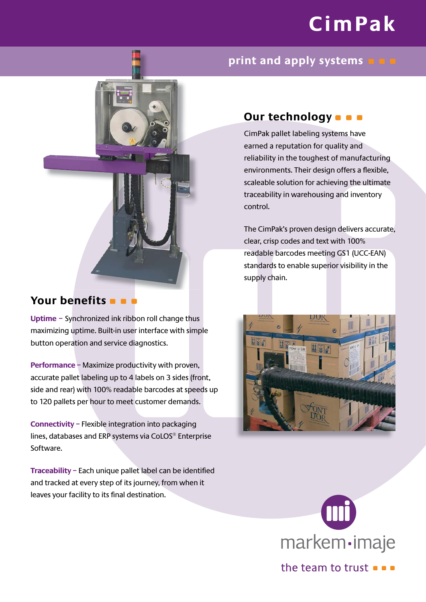# **CimPak**

# **print and apply systems**



# **Your benefits**

**Uptime –** Synchronized ink ribbon roll change thus maximizing uptime. Built-in user interface with simple button operation and service diagnostics.

**Performance –** Maximize productivity with proven, accurate pallet labeling up to 4 labels on 3 sides (front, side and rear) with 100% readable barcodes at speeds up to 120 pallets per hour to meet customer demands.

**Connectivity –** Flexible integration into packaging lines, databases and ERP systems via CoLOS® Enterprise Software.

**Traceability - Each unique pallet label can be identified** and tracked at every step of its journey, from when it leaves your facility to its final destination.

# **Our technology D D**

CimPak pallet labeling systems have earned a reputation for quality and reliability in the toughest of manufacturing environments. Their design offers a flexible, scaleable solution for achieving the ultimate traceability in warehousing and inventory control.

The CimPak's proven design delivers accurate, clear, crisp codes and text with 100% readable barcodes meeting GS1 (UCC-EAN) standards to enable superior visibility in the supply chain.